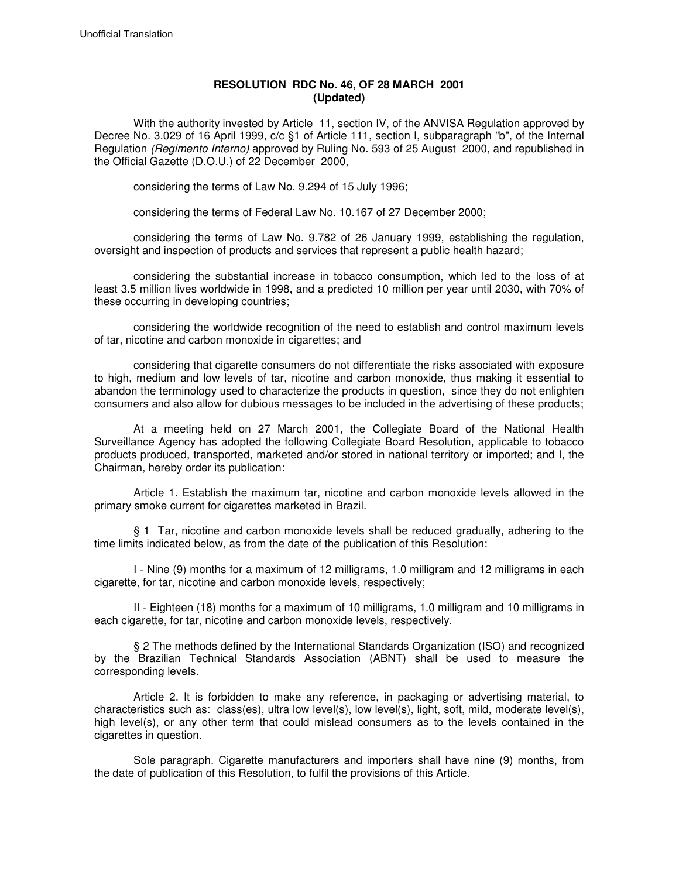## **RESOLUTION RDC No. 46, OF 28 MARCH 2001 (Updated)**

With the authority invested by Article 11, section IV, of the ANVISA Regulation approved by Decree No. 3.029 of 16 April 1999, c/c §1 of Article 111, section I, subparagraph "b", of the Internal Regulation (Regimento Interno) approved by Ruling No. 593 of 25 August 2000, and republished in the Official Gazette (D.O.U.) of 22 December 2000,

considering the terms of Law No. 9.294 of 15 July 1996;

considering the terms of Federal Law No. 10.167 of 27 December 2000;

considering the terms of Law No. 9.782 of 26 January 1999, establishing the regulation, oversight and inspection of products and services that represent a public health hazard;

considering the substantial increase in tobacco consumption, which led to the loss of at least 3.5 million lives worldwide in 1998, and a predicted 10 million per year until 2030, with 70% of these occurring in developing countries;

considering the worldwide recognition of the need to establish and control maximum levels of tar, nicotine and carbon monoxide in cigarettes; and

considering that cigarette consumers do not differentiate the risks associated with exposure to high, medium and low levels of tar, nicotine and carbon monoxide, thus making it essential to abandon the terminology used to characterize the products in question, since they do not enlighten consumers and also allow for dubious messages to be included in the advertising of these products;

At a meeting held on 27 March 2001, the Collegiate Board of the National Health Surveillance Agency has adopted the following Collegiate Board Resolution, applicable to tobacco products produced, transported, marketed and/or stored in national territory or imported; and I, the Chairman, hereby order its publication:

Article 1. Establish the maximum tar, nicotine and carbon monoxide levels allowed in the primary smoke current for cigarettes marketed in Brazil.

§ 1 Tar, nicotine and carbon monoxide levels shall be reduced gradually, adhering to the time limits indicated below, as from the date of the publication of this Resolution:

I - Nine (9) months for a maximum of 12 milligrams, 1.0 milligram and 12 milligrams in each cigarette, for tar, nicotine and carbon monoxide levels, respectively;

II - Eighteen (18) months for a maximum of 10 milligrams, 1.0 milligram and 10 milligrams in each cigarette, for tar, nicotine and carbon monoxide levels, respectively.

§ 2 The methods defined by the International Standards Organization (ISO) and recognized by the Brazilian Technical Standards Association (ABNT) shall be used to measure the corresponding levels.

Article 2. It is forbidden to make any reference, in packaging or advertising material, to characteristics such as: class(es), ultra low level(s), low level(s), light, soft, mild, moderate level(s), high level(s), or any other term that could mislead consumers as to the levels contained in the cigarettes in question.

Sole paragraph. Cigarette manufacturers and importers shall have nine (9) months, from the date of publication of this Resolution, to fulfil the provisions of this Article.